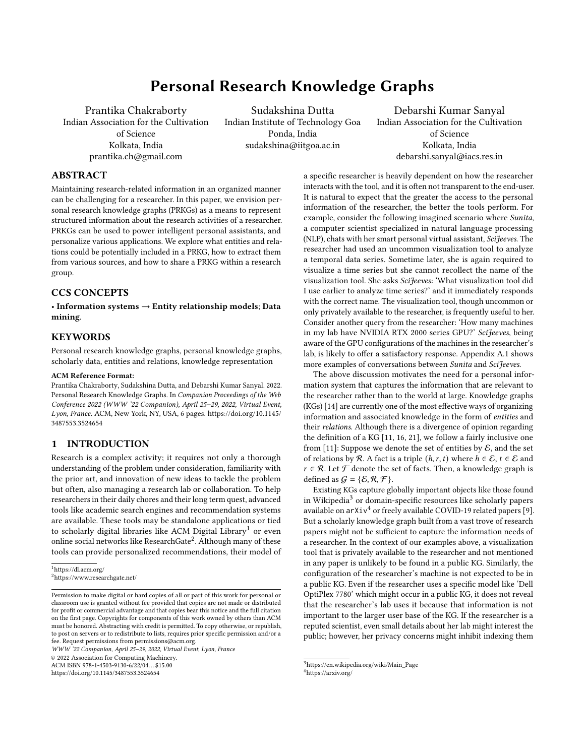# Personal Research Knowledge Graphs

Prantika Chakraborty Indian Association for the Cultivation of Science Kolkata, India prantika.ch@gmail.com

Sudakshina Dutta Indian Institute of Technology Goa Ponda, India sudakshina@iitgoa.ac.in

Debarshi Kumar Sanyal Indian Association for the Cultivation of Science Kolkata, India debarshi.sanyal@iacs.res.in

## ABSTRACT

Maintaining research-related information in an organized manner can be challenging for a researcher. In this paper, we envision personal research knowledge graphs (PRKGs) as a means to represent structured information about the research activities of a researcher. PRKGs can be used to power intelligent personal assistants, and personalize various applications. We explore what entities and relations could be potentially included in a PRKG, how to extract them from various sources, and how to share a PRKG within a research group.

# CCS CONCEPTS

• Information systems  $\rightarrow$  Entity relationship models; Data mining.

## **KEYWORDS**

Personal research knowledge graphs, personal knowledge graphs, scholarly data, entities and relations, knowledge representation

#### ACM Reference Format:

Prantika Chakraborty, Sudakshina Dutta, and Debarshi Kumar Sanyal. 2022. Personal Research Knowledge Graphs. In Companion Proceedings of the Web Conference 2022 (WWW '22 Companion), April 25–29, 2022, Virtual Event, Lyon, France. ACM, New York, NY, USA, [6](#page-5-0) pages. [https://doi.org/10.1145/](https://doi.org/10.1145/3487553.3524654) [3487553.3524654](https://doi.org/10.1145/3487553.3524654)

## 1 INTRODUCTION

Research is a complex activity; it requires not only a thorough understanding of the problem under consideration, familiarity with the prior art, and innovation of new ideas to tackle the problem but often, also managing a research lab or collaboration. To help researchers in their daily chores and their long term quest, advanced tools like academic search engines and recommendation systems are available. These tools may be standalone applications or tied to scholarly digital libraries like ACM Digital Library<sup>[1](#page-0-0)</sup> or even online social networks like ResearchGate<sup>[2](#page-0-1)</sup>. Although many of these tools can provide personalized recommendations, their model of

WWW '22 Companion, April 25–29, 2022, Virtual Event, Lyon, France

© 2022 Association for Computing Machinery.

ACM ISBN 978-1-4503-9130-6/22/04. . . \$15.00

<https://doi.org/10.1145/3487553.3524654>

a specific researcher is heavily dependent on how the researcher interacts with the tool, and it is often not transparent to the end-user. It is natural to expect that the greater the access to the personal information of the researcher, the better the tools perform. For example, consider the following imagined scenario where Sunita, a computer scientist specialized in natural language processing (NLP), chats with her smart personal virtual assistant, SciJeeves. The researcher had used an uncommon visualization tool to analyze a temporal data series. Sometime later, she is again required to visualize a time series but she cannot recollect the name of the visualization tool. She asks SciJeeves: 'What visualization tool did I use earlier to analyze time series?' and it immediately responds with the correct name. The visualization tool, though uncommon or only privately available to the researcher, is frequently useful to her. Consider another query from the researcher: 'How many machines in my lab have NVIDIA RTX 2000 series GPU?' SciJeeves, being aware of the GPU configurations of the machines in the researcher's lab, is likely to offer a satisfactory response. Appendix [A.1](#page-4-0) shows more examples of conversations between Sunita and SciJeeves.

The above discussion motivates the need for a personal information system that captures the information that are relevant to the researcher rather than to the world at large. Knowledge graphs (KGs) [\[14\]](#page-4-1) are currently one of the most effective ways of organizing information and associated knowledge in the form of entities and their relations. Although there is a divergence of opinion regarding the definition of a KG [\[11,](#page-4-2) [16,](#page-4-3) [21\]](#page-4-4), we follow a fairly inclusive one from [\[11\]](#page-4-2): Suppose we denote the set of entities by  $\mathcal{E}$ , and the set of relations by R. A fact is a triple  $(h, r, t)$  where  $h \in \mathcal{E}, t \in \mathcal{E}$  and  $r \in \mathcal{R}$ . Let  $\mathcal F$  denote the set of facts. Then, a knowledge graph is defined as  $G = \{E, R, F\}.$ 

Existing KGs capture globally important objects like those found in Wikipedia[3](#page-0-2) or domain-specific resources like scholarly papers available on  $arXiv^4$  $arXiv^4$  or freely available COVID-19 related papers [\[9\]](#page-4-5). But a scholarly knowledge graph built from a vast trove of research papers might not be sufficient to capture the information needs of a researcher. In the context of our examples above, a visualization tool that is privately available to the researcher and not mentioned in any paper is unlikely to be found in a public KG. Similarly, the configuration of the researcher's machine is not expected to be in a public KG. Even if the researcher uses a specific model like 'Dell OptiPlex 7780' which might occur in a public KG, it does not reveal that the researcher's lab uses it because that information is not important to the larger user base of the KG. If the researcher is a reputed scientist, even small details about her lab might interest the public; however, her privacy concerns might inhibit indexing them

<span id="page-0-0"></span><sup>1</sup>https://dl.acm.org/

<span id="page-0-1"></span><sup>2</sup>https://www.researchgate.net/

Permission to make digital or hard copies of all or part of this work for personal or classroom use is granted without fee provided that copies are not made or distributed for profit or commercial advantage and that copies bear this notice and the full citation on the first page. Copyrights for components of this work owned by others than ACM must be honored. Abstracting with credit is permitted. To copy otherwise, or republish, to post on servers or to redistribute to lists, requires prior specific permission and/or a fee. Request permissions from permissions@acm.org.

<span id="page-0-2"></span> $^3$ [https://en.wikipedia.org/wiki/Main\\_Page](https://en.wikipedia.org/wiki/Main_Page)

<span id="page-0-3"></span><sup>4</sup><https://arxiv.org/>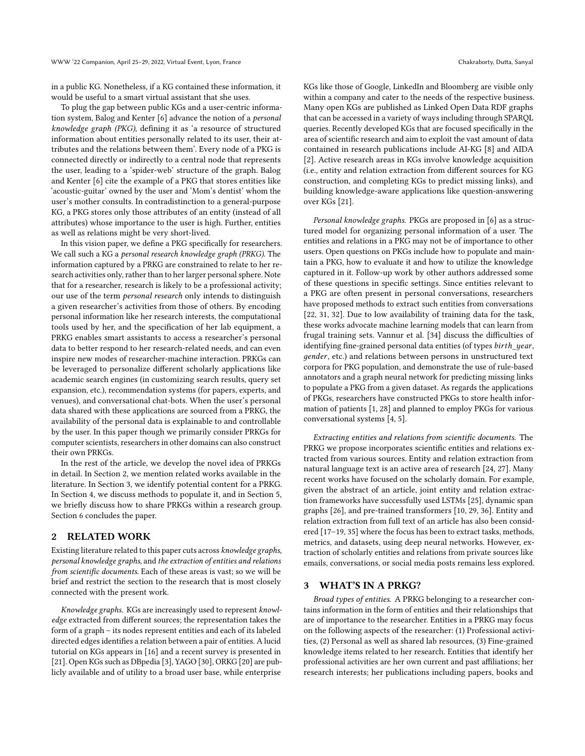in a public KG. Nonetheless, if a KG contained these information, it would be useful to a smart virtual assistant that she uses.

To plug the gap between public KGs and a user-centric information system, Balog and Kenter [\[6\]](#page-4-6) advance the notion of a personal knowledge graph (PKG), defining it as 'a resource of structured information about entities personally related to its user, their attributes and the relations between them'. Every node of a PKG is connected directly or indirectly to a central node that represents the user, leading to a 'spider-web' structure of the graph. Balog and Kenter [\[6\]](#page-4-6) cite the example of a PKG that stores entities like 'acoustic-guitar' owned by the user and 'Mom's dentist' whom the user's mother consults. In contradistinction to a general-purpose KG, a PKG stores only those attributes of an entity (instead of all attributes) whose importance to the user is high. Further, entities as well as relations might be very short-lived.

In this vision paper, we define a PKG specifically for researchers. We call such a KG a personal research knowledge graph (PRKG). The information captured by a PRKG are constrained to relate to her research activities only, rather than to her larger personal sphere. Note that for a researcher, research is likely to be a professional activity; our use of the term personal research only intends to distinguish a given researcher's activities from those of others. By encoding personal information like her research interests, the computational tools used by her, and the specification of her lab equipment, a PRKG enables smart assistants to access a researcher's personal data to better respond to her research-related needs, and can even inspire new modes of researcher-machine interaction. PRKGs can be leveraged to personalize different scholarly applications like academic search engines (in customizing search results, query set expansion, etc.), recommendation systems (for papers, experts, and venues), and conversational chat-bots. When the user's personal data shared with these applications are sourced from a PRKG, the availability of the personal data is explainable to and controllable by the user. In this paper though we primarily consider PRKGs for computer scientists, researchers in other domains can also construct their own PRKGs.

In the rest of the article, we develop the novel idea of PRKGs in detail. In Section [2,](#page-1-0) we mention related works available in the literature. In Section [3,](#page-1-1) we identify potential content for a PRKG. In Section [4,](#page-3-0) we discuss methods to populate it, and in Section [5,](#page-3-1) we briefly discuss how to share PRKGs within a research group. Section [6](#page-3-2) concludes the paper.

## <span id="page-1-0"></span>2 RELATED WORK

Existing literature related to this paper cuts across knowledge graphs, personal knowledge graphs, and the extraction of entities and relations from scientific documents. Each of these areas is vast; so we will be brief and restrict the section to the research that is most closely connected with the present work.

Knowledge graphs. KGs are increasingly used to represent knowledge extracted from different sources; the representation takes the form of a graph – its nodes represent entities and each of its labeled directed edges identifies a relation between a pair of entities. A lucid tutorial on KGs appears in [\[16\]](#page-4-3) and a recent survey is presented in [\[21\]](#page-4-4). Open KGs such as DBpedia [\[3\]](#page-4-7), YAGO [\[30\]](#page-4-8), ORKG [\[20\]](#page-4-9) are publicly available and of utility to a broad user base, while enterprise

KGs like those of Google, LinkedIn and Bloomberg are visible only

within a company and cater to the needs of the respective business. Many open KGs are published as Linked Open Data RDF graphs that can be accessed in a variety of ways including through SPARQL queries. Recently developed KGs that are focused specifically in the area of scientific research and aim to exploit the vast amount of data contained in research publications include AI-KG [\[8\]](#page-4-10) and AIDA [\[2\]](#page-4-11). Active research areas in KGs involve knowledge acquisition (i.e., entity and relation extraction from different sources for KG construction, and completing KGs to predict missing links), and building knowledge-aware applications like question-answering over KGs [\[21\]](#page-4-4).

Personal knowledge graphs. PKGs are proposed in [\[6\]](#page-4-6) as a structured model for organizing personal information of a user. The entities and relations in a PKG may not be of importance to other users. Open questions on PKGs include how to populate and maintain a PKG, how to evaluate it and how to utilize the knowledge captured in it. Follow-up work by other authors addressed some of these questions in specific settings. Since entities relevant to a PKG are often present in personal conversations, researchers have proposed methods to extract such entities from conversations [\[22,](#page-4-12) [31,](#page-4-13) [32\]](#page-4-14). Due to low availability of training data for the task, these works advocate machine learning models that can learn from frugal training sets. Vannur et al. [\[34\]](#page-4-15) discuss the difficulties of identifying fine-grained personal data entities (of types birth\_year, gender, etc.) and relations between persons in unstructured text corpora for PKG population, and demonstrate the use of rule-based annotators and a graph neural network for predicting missing links to populate a PKG from a given dataset. As regards the applications of PKGs, researchers have constructed PKGs to store health information of patients [\[1,](#page-4-16) [28\]](#page-4-17) and planned to employ PKGs for various conversational systems [\[4,](#page-4-18) [5\]](#page-4-19).

Extracting entities and relations from scientific documents. The PRKG we propose incorporates scientific entities and relations extracted from various sources. Entity and relation extraction from natural language text is an active area of research [\[24,](#page-4-20) [27\]](#page-4-21). Many recent works have focused on the scholarly domain. For example, given the abstract of an article, joint entity and relation extraction frameworks have successfully used LSTMs [\[25\]](#page-4-22), dynamic span graphs [\[26\]](#page-4-23), and pre-trained transformers [\[10,](#page-4-24) [29,](#page-4-25) [36\]](#page-4-26). Entity and relation extraction from full text of an article has also been considered [\[17–](#page-4-27)[19,](#page-4-28) [35\]](#page-4-29) where the focus has been to extract tasks, methods, metrics, and datasets, using deep neural networks. However, extraction of scholarly entities and relations from private sources like emails, conversations, or social media posts remains less explored.

## <span id="page-1-1"></span>3 WHAT'S IN A PRKG?

Broad types of entities. A PRKG belonging to a researcher contains information in the form of entities and their relationships that are of importance to the researcher. Entities in a PRKG may focus on the following aspects of the researcher: (1) Professional activities, (2) Personal as well as shared lab resources, (3) Fine-grained knowledge items related to her research. Entities that identify her professional activities are her own current and past affiliations; her research interests; her publications including papers, books and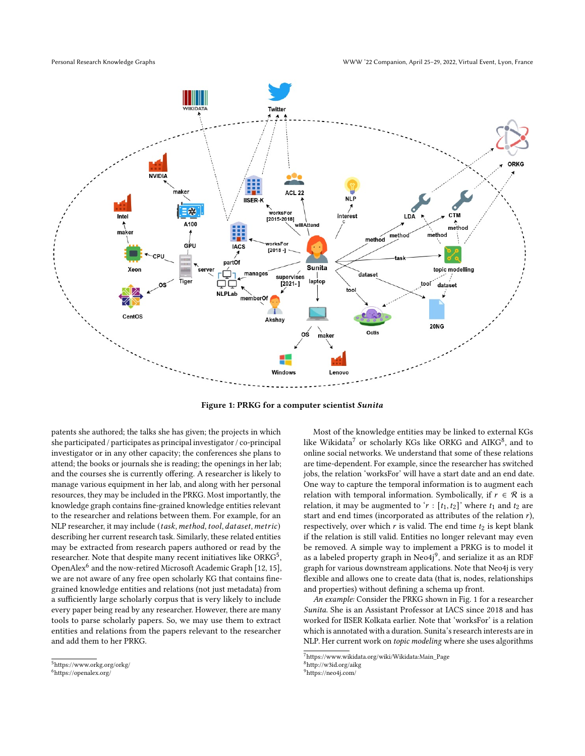<span id="page-2-5"></span>

Figure 1: PRKG for a computer scientist Sunita

patents she authored; the talks she has given; the projects in which she participated / participates as principal investigator / co-principal investigator or in any other capacity; the conferences she plans to attend; the books or journals she is reading; the openings in her lab; and the courses she is currently offering. A researcher is likely to manage various equipment in her lab, and along with her personal resources, they may be included in the PRKG. Most importantly, the knowledge graph contains fine-grained knowledge entities relevant to the researcher and relations between them. For example, for an NLP researcher, it may include (task, method, tool, dataset, metric) describing her current research task. Similarly, these related entities may be extracted from research papers authored or read by the researcher. Note that despite many recent initiatives like ORK $G^5$  $G^5$ , OpenAlex<sup>[6](#page-2-1)</sup> and the now-retired Microsoft Academic Graph [\[12,](#page-4-30) [15\]](#page-4-31), we are not aware of any free open scholarly KG that contains finegrained knowledge entities and relations (not just metadata) from a sufficiently large scholarly corpus that is very likely to include every paper being read by any researcher. However, there are many tools to parse scholarly papers. So, we may use them to extract entities and relations from the papers relevant to the researcher and add them to her PRKG.

Most of the knowledge entities may be linked to external KGs like Wikidata<sup>[7](#page-2-2)</sup> or scholarly KGs like ORKG and AIKG<sup>[8](#page-2-3)</sup>, and to online social networks. We understand that some of these relations are time-dependent. For example, since the researcher has switched jobs, the relation 'worksFor' will have a start date and an end date. One way to capture the temporal information is to augment each relation with temporal information. Symbolically, if  $r \in \mathcal{R}$  is a relation, it may be augmented to ' $r : [t_1, t_2]$ ' where  $t_1$  and  $t_2$  are start and end times (incorporated as attributes of the relation  $r$ ), respectively, over which  $r$  is valid. The end time  $t_2$  is kept blank if the relation is still valid. Entities no longer relevant may even be removed. A simple way to implement a PRKG is to model it as a labeled property graph in  $\mathrm{Neo4j^9},$  $\mathrm{Neo4j^9},$  $\mathrm{Neo4j^9},$  and serialize it as an RDF graph for various downstream applications. Note that Neo4j is very flexible and allows one to create data (that is, nodes, relationships and properties) without defining a schema up front.

An example: Consider the PRKG shown in Fig. [1](#page-2-5) for a researcher Sunita. She is an Assistant Professor at IACS since 2018 and has worked for IISER Kolkata earlier. Note that 'worksFor' is a relation which is annotated with a duration. Sunita's research interests are in NLP. Her current work on topic modeling where she uses algorithms

<span id="page-2-0"></span><sup>5</sup><https://www.orkg.org/orkg/>

<span id="page-2-1"></span><sup>6</sup><https://openalex.org/>

<span id="page-2-2"></span><sup>7</sup>[https://www.wikidata.org/wiki/Wikidata:Main\\_Page](https://www.wikidata.org/wiki/Wikidata:Main_Page)

<span id="page-2-4"></span><span id="page-2-3"></span><sup>8</sup><http://w3id.org/aikg>

<sup>9</sup><https://neo4j.com/>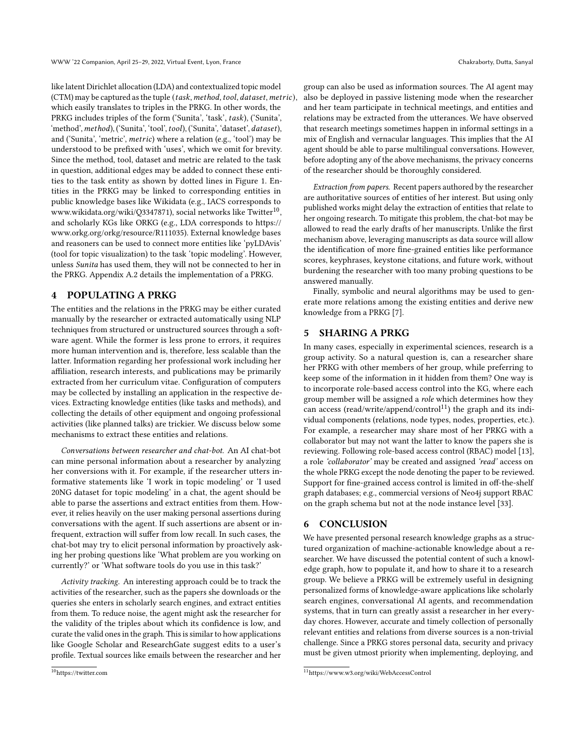like latent Dirichlet allocation (LDA) and contextualized topic model (CTM) may be captured as the tuple (task, method, tool, dataset, metric), which easily translates to triples in the PRKG. In other words, the PRKG includes triples of the form ('Sunita', 'task', task), ('Sunita', 'method', method), ('Sunita', 'tool', tool), ('Sunita', 'dataset', dataset), and ('Sunita', 'metric', *metric*) where a relation (e.g., 'tool') may be understood to be prefixed with 'uses', which we omit for brevity. Since the method, tool, dataset and metric are related to the task in question, additional edges may be added to connect these entities to the task entity as shown by dotted lines in Figure [1.](#page-2-5) Entities in the PRKG may be linked to corresponding entities in public knowledge bases like Wikidata (e.g., IACS corresponds to [www.wikidata.org/wiki/Q3347871\)](www.wikidata.org/wiki/Q3347871), social networks like Twitter<sup>[10](#page-3-3)</sup> , and scholarly KGs like ORKG (e.g., LDA corresponds to [https://](https://www.orkg.org/orkg/resource/R111035) [www.orkg.org/orkg/resource/R111035\)](https://www.orkg.org/orkg/resource/R111035). External knowledge bases and reasoners can be used to connect more entities like 'pyLDAvis' (tool for topic visualization) to the task 'topic modeling'. However, unless Sunita has used them, they will not be connected to her in the PRKG. Appendix [A.2](#page-4-32) details the implementation of a PRKG.

# <span id="page-3-0"></span>4 POPULATING A PRKG

The entities and the relations in the PRKG may be either curated manually by the researcher or extracted automatically using NLP techniques from structured or unstructured sources through a software agent. While the former is less prone to errors, it requires more human intervention and is, therefore, less scalable than the latter. Information regarding her professional work including her affiliation, research interests, and publications may be primarily extracted from her curriculum vitae. Configuration of computers may be collected by installing an application in the respective devices. Extracting knowledge entities (like tasks and methods), and collecting the details of other equipment and ongoing professional activities (like planned talks) are trickier. We discuss below some mechanisms to extract these entities and relations.

Conversations between researcher and chat-bot. An AI chat-bot can mine personal information about a researcher by analyzing her conversions with it. For example, if the researcher utters informative statements like 'I work in topic modeling' or 'I used 20NG dataset for topic modeling' in a chat, the agent should be able to parse the assertions and extract entities from them. However, it relies heavily on the user making personal assertions during conversations with the agent. If such assertions are absent or infrequent, extraction will suffer from low recall. In such cases, the chat-bot may try to elicit personal information by proactively asking her probing questions like 'What problem are you working on currently?' or 'What software tools do you use in this task?'

Activity tracking. An interesting approach could be to track the activities of the researcher, such as the papers she downloads or the queries she enters in scholarly search engines, and extract entities from them. To reduce noise, the agent might ask the researcher for the validity of the triples about which its confidence is low, and curate the valid ones in the graph. This is similar to how applications like Google Scholar and ResearchGate suggest edits to a user's profile. Textual sources like emails between the researcher and her

group can also be used as information sources. The AI agent may also be deployed in passive listening mode when the researcher and her team participate in technical meetings, and entities and relations may be extracted from the utterances. We have observed that research meetings sometimes happen in informal settings in a mix of English and vernacular languages. This implies that the AI agent should be able to parse multilingual conversations. However, before adopting any of the above mechanisms, the privacy concerns of the researcher should be thoroughly considered.

Extraction from papers. Recent papers authored by the researcher are authoritative sources of entities of her interest. But using only published works might delay the extraction of entities that relate to her ongoing research. To mitigate this problem, the chat-bot may be allowed to read the early drafts of her manuscripts. Unlike the first mechanism above, leveraging manuscripts as data source will allow the identification of more fine-grained entities like performance scores, keyphrases, keystone citations, and future work, without burdening the researcher with too many probing questions to be answered manually.

Finally, symbolic and neural algorithms may be used to generate more relations among the existing entities and derive new knowledge from a PRKG [\[7\]](#page-4-33).

# <span id="page-3-1"></span>5 SHARING A PRKG

In many cases, especially in experimental sciences, research is a group activity. So a natural question is, can a researcher share her PRKG with other members of her group, while preferring to keep some of the information in it hidden from them? One way is to incorporate role-based access control into the KG, where each group member will be assigned a role which determines how they can access (read/write/append/control<sup>[11](#page-3-4)</sup>) the graph and its individual components (relations, node types, nodes, properties, etc.). For example, a researcher may share most of her PRKG with a collaborator but may not want the latter to know the papers she is reviewing. Following role-based access control (RBAC) model [\[13\]](#page-4-34), a role 'collaborator' may be created and assigned 'read' access on the whole PRKG except the node denoting the paper to be reviewed. Support for fine-grained access control is limited in off-the-shelf graph databases; e.g., commercial versions of Neo4j support RBAC on the graph schema but not at the node instance level [\[33\]](#page-4-35).

# <span id="page-3-2"></span>6 CONCLUSION

We have presented personal research knowledge graphs as a structured organization of machine-actionable knowledge about a researcher. We have discussed the potential content of such a knowledge graph, how to populate it, and how to share it to a research group. We believe a PRKG will be extremely useful in designing personalized forms of knowledge-aware applications like scholarly search engines, conversational AI agents, and recommendation systems, that in turn can greatly assist a researcher in her everyday chores. However, accurate and timely collection of personally relevant entities and relations from diverse sources is a non-trivial challenge. Since a PRKG stores personal data, security and privacy must be given utmost priority when implementing, deploying, and

<span id="page-3-3"></span><sup>10</sup><https://twitter.com>

<span id="page-3-4"></span><sup>11</sup><https://www.w3.org/wiki/WebAccessControl>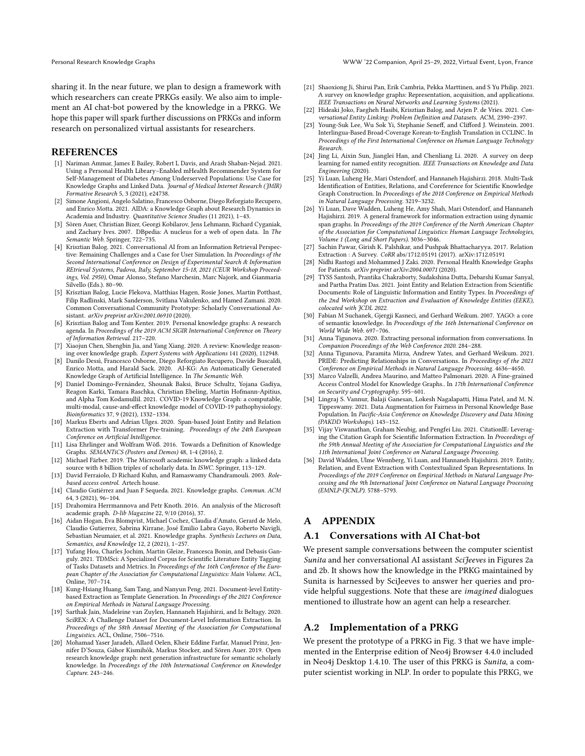Personal Research Knowledge Graphs WWW '22 Companion, April 25–29, 2022, Virtual Event, Lyon, France

sharing it. In the near future, we plan to design a framework with which researchers can create PRKGs easily. We also aim to implement an AI chat-bot powered by the knowledge in a PRKG. We hope this paper will spark further discussions on PRKGs and inform research on personalized virtual assistants for researchers.

## **REFERENCES**

- <span id="page-4-16"></span>[1] Nariman Ammar, James E Bailey, Robert L Davis, and Arash Shaban-Nejad. 2021. Using a Personal Health Library–Enabled mHealth Recommender System for Self-Management of Diabetes Among Underserved Populations: Use Case for Knowledge Graphs and Linked Data. Journal of Medical Internet Research (JMIR) Formative Research 5, 3 (2021), e24738.
- <span id="page-4-11"></span>[2] Simone Angioni, Angelo Salatino, Francesco Osborne, Diego Reforgiato Recupero, and Enrico Motta. 2021. AIDA: a Knowledge Graph about Research Dynamics in Academia and Industry. Quantitative Science Studies (11 2021), 1–43.
- <span id="page-4-7"></span>[3] Sören Auer, Christian Bizer, Georgi Kobilarov, Jens Lehmann, Richard Cyganiak, and Zachary Ives. 2007. DBpedia: A nucleus for a web of open data. In The Semantic Web. Springer, 722–735.
- <span id="page-4-18"></span>[4] Krisztian Balog. 2021. Conversational AI from an Information Retrieval Perspective: Remaining Challenges and a Case for User Simulation. In Proceedings of the Second International Conference on Design of Experimental Search & Information REtrieval Systems, Padova, Italy, September 15-18, 2021 (CEUR Workshop Proceedings, Vol. 2950), Omar Alonso, Stefano Marchesin, Marc Najork, and Gianmaria Silvello (Eds.). 80–90.
- <span id="page-4-19"></span>[5] Krisztian Balog, Lucie Flekova, Matthias Hagen, Rosie Jones, Martin Potthast, Filip Radlinski, Mark Sanderson, Svitlana Vakulenko, and Hamed Zamani. 2020. Common Conversational Community Prototype: Scholarly Conversational Assistant. arXiv preprint arXiv:2001.06910 (2020).
- <span id="page-4-6"></span>[6] Krisztian Balog and Tom Kenter. 2019. Personal knowledge graphs: A research agenda. In Proceedings of the 2019 ACM SIGIR International Conference on Theory of Information Retrieval. 217–220.
- <span id="page-4-33"></span>[7] Xiaojun Chen, Shengbin Jia, and Yang Xiang. 2020. A review: Knowledge reasoning over knowledge graph. Expert Systems with Applications 141 (2020), 112948.
- <span id="page-4-10"></span>[8] Danilo Dessì, Francesco Osborne, Diego Reforgiato Recupero, Davide Buscaldi, Enrico Motta, and Harald Sack. 2020. AI-KG: An Automatically Generated Knowledge Graph of Artificial Intelligence. In The Semantic Web.
- <span id="page-4-5"></span>[9] Daniel Domingo-Fernández, Shounak Baksi, Bruce Schultz, Yojana Gadiya, Reagon Karki, Tamara Raschka, Christian Ebeling, Martin Hofmann-Apitius, and Alpha Tom Kodamullil. 2021. COVID-19 Knowledge Graph: a computable, multi-modal, cause-and-effect knowledge model of COVID-19 pathophysiology. Bioinformatics 37, 9 (2021), 1332–1334.
- <span id="page-4-24"></span>[10] Markus Eberts and Adrian Ulges. 2020. Span-based Joint Entity and Relation Extraction with Transformer Pre-training. Proceedings of the 24th European Conference on Artificial Intelligence.
- <span id="page-4-2"></span>[11] Lisa Ehrlinger and Wolfram Wöß. 2016. Towards a Definition of Knowledge Graphs. SEMANTiCS (Posters and Demos) 48, 1-4 (2016), 2.
- <span id="page-4-30"></span>[12] Michael Färber. 2019. The Microsoft academic knowledge graph: a linked data source with 8 billion triples of scholarly data. In ISWC. Springer, 113–129.
- <span id="page-4-34"></span>[13] David Ferraiolo, D Richard Kuhn, and Ramaswamy Chandramouli. 2003. Rolebased access control. Artech house.
- <span id="page-4-1"></span>[14] Claudio Gutiérrez and Juan F Sequeda. 2021. Knowledge graphs. Commun. ACM 64, 3 (2021), 96–104.
- <span id="page-4-31"></span>[15] Drahomira Herrmannova and Petr Knoth. 2016. An analysis of the Microsoft academic graph. D-lib Magazine 22, 9/10 (2016), 37.
- <span id="page-4-3"></span>[16] Aidan Hogan, Eva Blomqvist, Michael Cochez, Claudia d'Amato, Gerard de Melo, Claudio Gutierrez, Sabrina Kirrane, José Emilio Labra Gayo, Roberto Navigli, Sebastian Neumaier, et al. 2021. Knowledge graphs. Synthesis Lectures on Data,  $S$ emantics, and Knowledge 12, 2 (2021), 1-257 $S$
- <span id="page-4-27"></span>[17] Yufang Hou, Charles Jochim, Martin Gleize, Francesca Bonin, and Debasis Ganguly. 2021. TDMSci: A Specialized Corpus for Scientific Literature Entity Tagging of Tasks Datasets and Metrics. In Proceedings of the 16th Conference of the European Chapter of the Association for Computational Linguistics: Main Volume. ACL, Online, 707–714.
- [18] Kung-Hsiang Huang, Sam Tang, and Nanyun Peng. 2021. Document-level Entitybased Extraction as Template Generation. In Proceedings of the 2021 Conference on Empirical Methods in Natural Language Processing.
- <span id="page-4-28"></span>[19] Sarthak Jain, Madeleine van Zuylen, Hannaneh Hajishirzi, and Iz Beltagy. 2020. SciREX: A Challenge Dataset for Document-Level Information Extraction. In Proceedings of the 58th Annual Meeting of the Association for Computational Linguistics. ACL, Online, 7506–7516.
- <span id="page-4-9"></span>[20] Mohamad Yaser Jaradeh, Allard Oelen, Kheir Eddine Farfar, Manuel Prinz, Jennifer D'Souza, Gábor Kismihók, Markus Stocker, and Sören Auer. 2019. Open research knowledge graph: next generation infrastructure for semantic scholarly knowledge. In Proceedings of the 10th International Conference on Knowledge Capture. 243–246.
- <span id="page-4-4"></span>[21] Shaoxiong Ji, Shirui Pan, Erik Cambria, Pekka Marttinen, and S Yu Philip. 2021. A survey on knowledge graphs: Representation, acquisition, and applications. IEEE Transactions on Neural Networks and Learning Systems (2021).
- <span id="page-4-12"></span>[22] Hideaki Joko, Faegheh Hasibi, Krisztian Balog, and Arjen P. de Vries. 2021. Conversational Entity Linking: Problem Definition and Datasets. ACM, 2390–2397.
- <span id="page-4-36"></span>[23] Young-Suk Lee, Wu Sok Yi, Stephanie Seneff, and Clifford J. Weinstein. 2001. Interlingua-Based Broad-Coverage Korean-to-English Translation in CCLINC. In Proceedings of the First International Conference on Human Language Technology Research.
- <span id="page-4-20"></span>[24] Jing Li, Aixin Sun, Jianglei Han, and Chenliang Li. 2020. A survey on deep learning for named entity recognition. IEEE Transactions on Knowledge and Data Engineering (2020).
- <span id="page-4-22"></span>[25] Yi Luan, Luheng He, Mari Ostendorf, and Hannaneh Hajishirzi. 2018. Multi-Task Identification of Entities, Relations, and Coreference for Scientific Knowledge Graph Construction. In Proceedings of the 2018 Conference on Empirical Methods in Natural Language Processing. 3219–3232.
- <span id="page-4-23"></span>[26] Yi Luan, Dave Wadden, Luheng He, Amy Shah, Mari Ostendorf, and Hannaneh Hajishirzi. 2019. A general framework for information extraction using dynamic span graphs. In Proceedings of the 2019 Conference of the North American Chapter of the Association for Computational Linguistics: Human Language Technologies, Volume 1 (Long and Short Papers). 3036–3046.
- <span id="page-4-21"></span>[27] Sachin Pawar, Girish K. Palshikar, and Pushpak Bhattacharyya. 2017. Relation Extraction : A Survey. CoRR abs/1712.05191 (2017). arXiv[:1712.05191](https://arxiv.org/abs/1712.05191)
- <span id="page-4-17"></span>[28] Nidhi Rastogi and Mohammed J Zaki. 2020. Personal Health Knowledge Graphs for Patients. arXiv preprint arXiv:2004.00071 (2020).
- <span id="page-4-25"></span>[29] TYSS Santosh, Prantika Chakraborty, Sudakshina Dutta, Debarshi Kumar Sanyal, and Partha Pratim Das. 2021. Joint Entity and Relation Extraction from Scientific Documents: Role of Linguistic Information and Entity Types. In Proceedings of the 2nd Workshop on Extraction and Evaluation of Knowledge Entities (EEKE), colocated with  $\widehat{TCDL}$  2022.
- <span id="page-4-8"></span>[30] Fabian M Suchanek, Gjergji Kasneci, and Gerhard Weikum. 2007. YAGO: a core of semantic knowledge. In Proceedings of the 16th International Conference on World Wide Web. 697–706.
- <span id="page-4-13"></span>[31] Anna Tigunova. 2020. Extracting personal information from conversations. In Companion Proceedings of the Web Conference 2020. 284–288.
- <span id="page-4-14"></span>[32] Anna Tigunova, Paramita Mirza, Andrew Yates, and Gerhard Weikum. 2021. PRIDE: Predicting Relationships in Conversations. In Proceedings of the 2021 Conference on Empirical Methods in Natural Language Processing. 4636–4650.
- <span id="page-4-35"></span>[33] Marco Valzelli, Andrea Maurino, and Matteo Palmonari. 2020. A Fine-grained Access Control Model for Knowledge Graphs.. In 17th International Conference on Security and Cryptography. 595–601.
- <span id="page-4-15"></span>[34] Lingraj S. Vannur, Balaji Ganesan, Lokesh Nagalapatti, Hima Patel, and M. N. Tippeswamy. 2021. Data Augmentation for Fairness in Personal Knowledge Base Population. In Pacific-Asia Conference on Knowledge Discovery and Data Mining (PAKDD Workshops). 143–152.
- <span id="page-4-29"></span>[35] Vijay Viswanathan, Graham Neubig, and Pengfei Liu. 2021. CitationIE: Leveraging the Citation Graph for Scientific Information Extraction. In Proceedings of the 59th Annual Meeting of the Association for Computational Linguistics and the 11th International Joint Conference on Natural Language Processing.
- <span id="page-4-26"></span>David Wadden, Ulme Wennberg, Yi Luan, and Hannaneh Hajishirzi. 2019. Entity, Relation, and Event Extraction with Contextualized Span Representations. In Proceedings of the 2019 Conference on Empirical Methods in Natural Language Processing and the 9th International Joint Conference on Natural Language Processing (EMNLP-IJCNLP). 5788–5793.

# A APPENDIX

#### <span id="page-4-0"></span>A.1 Conversations with AI Chat-bot

We present sample conversations between the computer scientist Sunita and her conversational AI assistant Scifeeves in Figures [2a](#page-5-1) and [2b.](#page-5-1) It shows how the knowledge in the PRKG maintained by Sunita is harnessed by SciJeeves to answer her queries and provide helpful suggestions. Note that these are imagined dialogues mentioned to illustrate how an agent can help a researcher.

#### <span id="page-4-32"></span>A.2 Implementation of a PRKG

We present the prototype of a PRKG in Fig. [3](#page-5-2) that we have implemented in the Enterprise edition of Neo4j Browser 4.4.0 included in Neo4j Desktop 1.4.10. The user of this PRKG is Sunita, a computer scientist working in NLP. In order to populate this PRKG, we